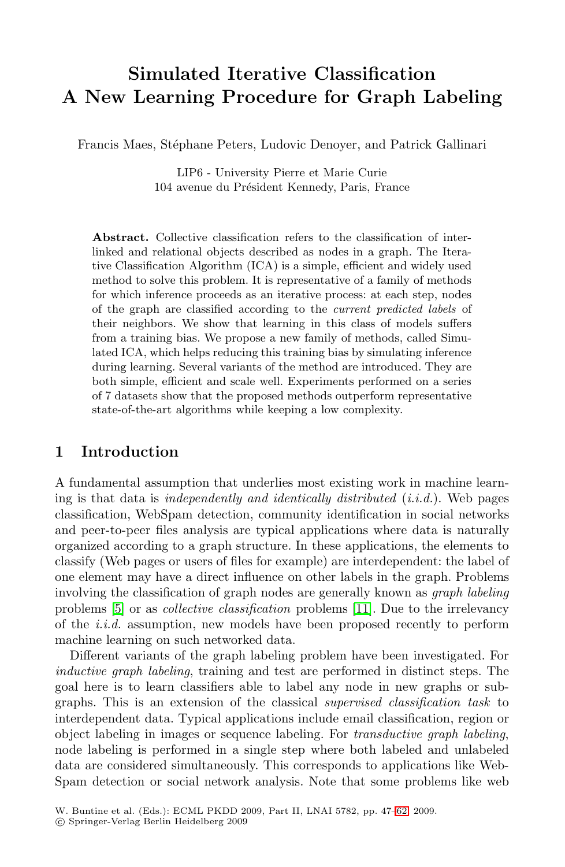# **Simulated Iterative Classification A New Learning Procedure for Graph Labeling**

Francis Maes, Stéphane Peters, Ludovic Denoyer, and Patrick Gallinari

LIP6 - University Pierre et Marie Curie 104 avenue du Président Kennedy, Paris, France

**Abstract.** Collective classification refers to the classification of interlinked and relational objects described as nodes in a graph. The Iterative Classification Algorithm (ICA) is a simple, efficient and widely used method to solve this problem. It is representative of a family of methods for which inference proceeds as an iterative process: at each step, nodes of the graph are classified according to the *current predicted labels* of their neighbors. We show that learning in this class of models suffers from a training bias. We propose a new family of methods, called Simulated ICA, which helps reducing this training bias by simulating inference during learning. Several variants of the method are introduced. They are both simple, efficient and scale well. Experiments performed on a series of 7 datasets show that the proposed methods outperform representative state-of-the-art algorithms while keeping a low complexity.

## **1 Introduction**

A fundamental assumption that [und](#page-15-0)erlies most existing work in machine learning is that data is *independently and identically distributed* (*i.i.d.*). Web pages classification, WebSpam detection, community identification in social networks and peer-to-peer files analysis are typical applications where data is naturally organized according to a graph structure. In these applications, the elements to classify (Web pages or users of files for example) are interdependent: the label of one element may have a direct influence on other labels in the graph. Problems involving the classification of graph nodes are generally known as *graph labeling* problems [5] or as *collective classification* problems [11]. Due to the irrelevancy of the *i.i.d.* assumption, new models have been proposed recently to perform machine learning on such networked data.

Different variants of the graph labeling problem have been investigated. For *inductive graph labeling*, training and test are performed in distinct steps. The goal here is to learn classifiers able to [lab](#page-15-1)el any node in new graphs or subgraphs. This is an extension of the classical *supervised classification task* to interdependent data. Typical applications include email classification, region or object labeling in images or sequence labeling. For *transductive graph labeling*, node labeling is performed in a single step where both labeled and unlabeled data are considered simultaneously. This corresponds to applications like Web-Spam detection or social network analysis. Note that some problems like web

W. Buntine et al. (Eds.): ECML PKDD 2009, Part II, LNAI 5782, pp. 47–62, 2009.

<sup>-</sup>c Springer-Verlag Berlin Heidelberg 2009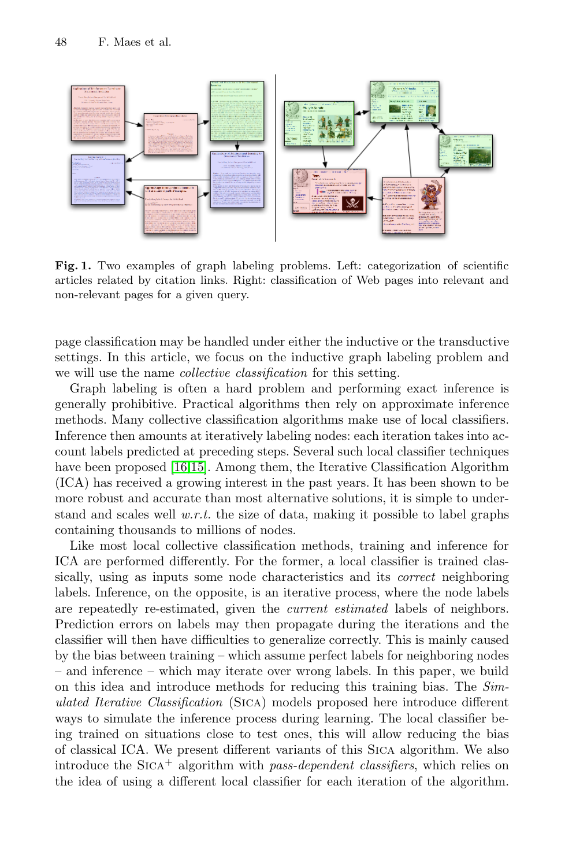

**Fig. 1.** Two examples of graph labeling problems. Left: categorization of scientific articles related by citation links. Right: classification of Web pages into relevant and non-relevant pages for a given query.

p[age](#page-15-2) [cla](#page-15-3)ssification may be handled under either the inductive or the transductive settings. In this article, we focus on the inductive graph labeling problem and we will use the name *collective classification* for this setting.

Graph labeling is often a hard problem and performing exact inference is generally prohibitive. Practical algorithms then rely on approximate inference methods. Many collective classification algorithms make use of local classifiers. Inference then amounts at iteratively labeling nodes: each iteration takes into account labels predicted at preceding steps. Several such local classifier techniques have been proposed [16,15]. Among them, the Iterative Classification Algorithm (ICA) has received a growing interest in the past years. It has been shown to be more robust and accurate than most alternative solutions, it is simple to understand and scales well *w.r.t.* the size of data, making it possible to label graphs containing thousands to millions of nodes.

Like most local collective classification methods, training and inference for ICA are performed differently. For the former, a local classifier is trained classically, using as inputs some node characteristics and its *correct* neighboring labels. Inference, on the opposite, is an iterative process, where the node labels are repeatedly re-estimated, given the *current estimated* labels of neighbors. Prediction errors on labels may then propagate during the iterations and the classifier will then have difficulties to generalize correctly. This is mainly caused by the bias between training – which assume perfect labels for neighboring nodes – and inference – which may iterate over wrong labels. In this paper, we build on this idea and introduce methods for reducing this training bias. The *Simulated Iterative Classification* (Sica) models proposed here introduce different ways to simulate the inference process during learning. The local classifier being trained on situations close to test ones, this will allow reducing the bias of classical ICA. We present different variants of this Sica algorithm. We also introduce the Sica<sup>+</sup> algorithm with *pass-dependent classifiers*, which relies on the idea of using a different local classifier for each iteration of the algorithm.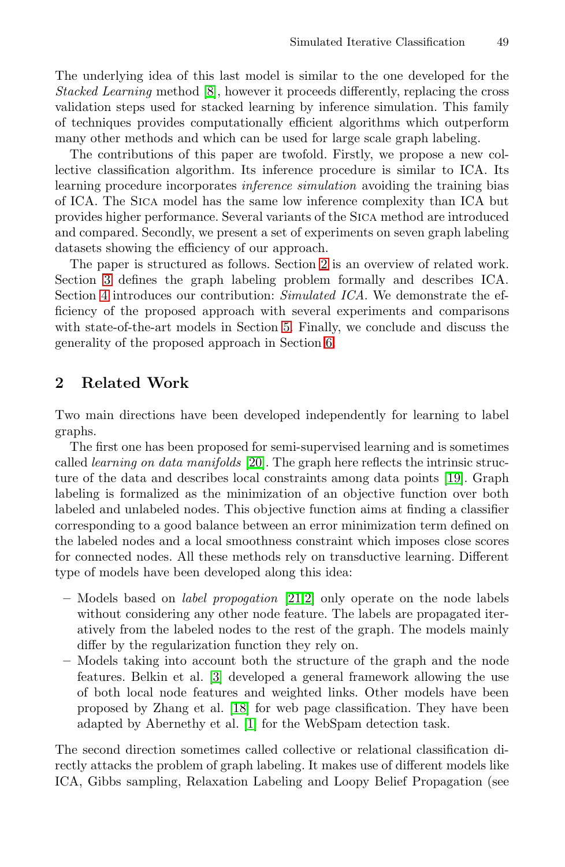The underlying idea of this last model is similar to the one developed for the *Stacked Learning* method [8], however it proceeds differently, replacing the cross validation steps used for stacked learning by inference simulation. This family of techniques provides computationally efficient algorithms which outperform many other methods and [whi](#page-2-0)ch can be used for large scale graph labeling.

The contributions of this paper are twofold. Firstly, we propose a new collective classification algorithm. Its inference procedure is similar to ICA. Its learning procedure incorporates *inference simulation* avoiding the training bias of ICA. The Sica m[od](#page-8-0)el has the same low inference complexity than ICA but provides higher performance[. S](#page-14-0)everal variants of the Sica method are introduced and compared. Secondly, we present a set of experiments on seven graph labeling datasets showing the efficiency of our approach.

<span id="page-2-0"></span>The paper is structured as follows. Section 2 is an overview of related work. Section 3 defines the graph labeling problem formally and describes ICA. Section 4 introduces our contribution: *Simulated ICA*. We demonstrate the efficiency of the proposed approach with several experiments and comparisons with state-of-the-art models in Section 5. Finally, we conclude and discuss the generality of t[he p](#page-15-4)roposed approach in Section 6.

## **2 Related Work**

Two main directions have been developed independently for learning to label graphs.

The first one has been proposed for semi-supervised learning and is sometimes called *learning on data manifolds* [20]. The graph here reflects the intrinsic structure of the data and [des](#page-15-5)[cr](#page-15-6)ibes local constraints among data points [19]. Graph labeling is formalized as the minimization of an objective function over both labeled and unlabeled nodes. This objective function aims at finding a classifier corresponding to a good balance between an error minimization term defined on the labeled nodes and a local smoothness constraint which imposes close scores for conn[ec](#page-15-7)ted nodes. All these methods rely on transductive learning. Different type of models have been developed along this idea:

- **–** Models [b](#page-15-8)[ase](#page-15-9)d on *label propogation* [21,2] only operate on the node labels without considering any other node feature. The labels are propagated iteratively from the labeled nodes to the rest of the graph. The models mainly differ by the regularization function they rely on.
- **–** Models taking into account both the structure of the graph and the node features. Belkin et al. [3] developed a general framework allowing the use of both local node features and weighted links. Other models have been proposed by Zhang et al. [18] for web page classification. They have been adapted by Abernethy et al. [1] for the WebSpam detection task.

The second direction sometimes called collective or relational classification directly attacks the problem of graph labeling. It makes use of different models like ICA, Gibbs sampling, Relaxation Labeling and Loopy Belief Propagation (see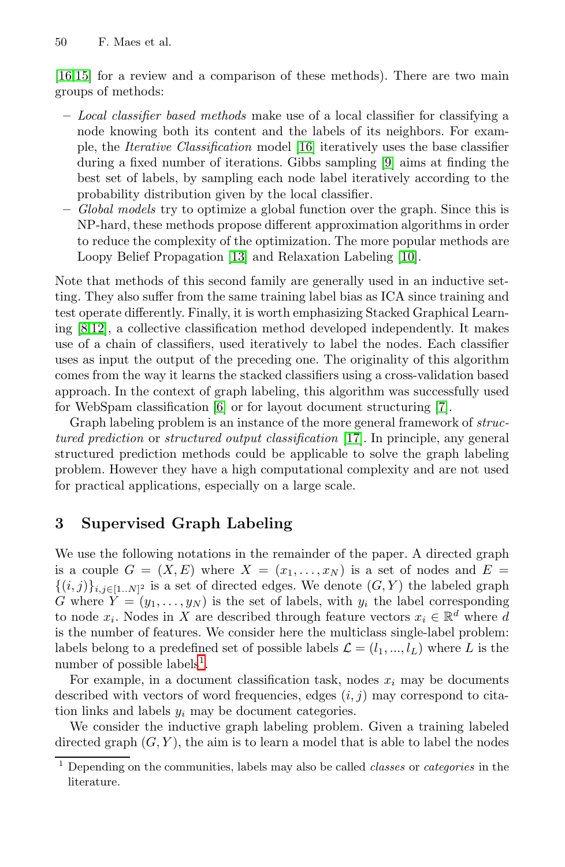[16,15] for a review and a comparison of these methods). There are two main groups of methods:

- **–** *Local classifier based methods* make use of a local classifier for classifying a node k[now](#page-15-10)ing both its content and [the](#page-15-11) labels of its neighbors. For example, the *Iterative Classification* model [16] iteratively uses the base classifier during a fixed number of iterations. Gibbs sampling [9] aims at finding the best set of labels, by sampling each node label iteratively according to the probability distribution given by the local classifier.
- **–** *Global models* try to optimize a global function over the graph. Since this is NP-hard, these methods propose different approximation algorithms in order to reduce the complexity of the optimization. The more popular methods are Loopy Belief Propagation [13] and Relaxation Labeling [10].

Note tha[t m](#page-15-12)ethods of this second family are ge[ne](#page-15-13)rally used in an inductive setting. They also suffer from the same training label bias as ICA since training and test operate differently. Finally, [it is](#page-15-14) worth emphasizing Stacked Graphical Learning [8,12], a collective classification method developed independently. It makes use of a chain of classifiers, used iteratively to label the nodes. Each classifier uses as input the output of the preceding one. The originality of this algorithm comes from the way it learns the stacked classifiers using a cross-validation based approach. In the context of graph labeling, this algorithm was successfully used for WebSpam classification [6] or for layout document structuring [7].

Graph labeling problem is an instance of the more general framework of *structured prediction* or *structured output classification* [17]. In principle, any general structured prediction methods could be applicable to solve the graph labeling problem. However they have a high computational complexity and are not used for practical applications, especially on a large scale.

## **3 Supervised Graph Labeling**

We us[e](#page-3-0) the following notations in the remainder of the paper. A directed graph is a couple  $G = (X, E)$  where  $X = (x_1, \ldots, x_N)$  is a set of nodes and  $E =$  $\{(i,j)\}_{i,j\in[1..N]^2}$  is a set of directed edges. We denote  $(G, Y)$  the labeled graph G where  $Y = (y_1, \ldots, y_N)$  is the set of labels, with  $y_i$  the label corresponding to node  $x_i$ . Nodes in X are described through feature vectors  $x_i \in \mathbb{R}^d$  where d is the number of features. We consider here the multiclass single-label problem: labels belong to a predefined set of possible labels  $\mathcal{L} = (l_1, ..., l_L)$  where L is the number of possible labels<sup>1</sup>.

<span id="page-3-0"></span>For example, in a document classification task, nodes x*<sup>i</sup>* may be documents described with vectors of word frequencies, edges  $(i, j)$  may correspond to citation links and labels  $y_i$  may be document categories.

We consider the inductive graph labeling problem. Given a training labeled directed graph  $(G, Y)$ , the aim is to learn a model that is able to label the nodes

<sup>1</sup> Depending on the communities, labels may also be called *classes* or *categories* in the literature.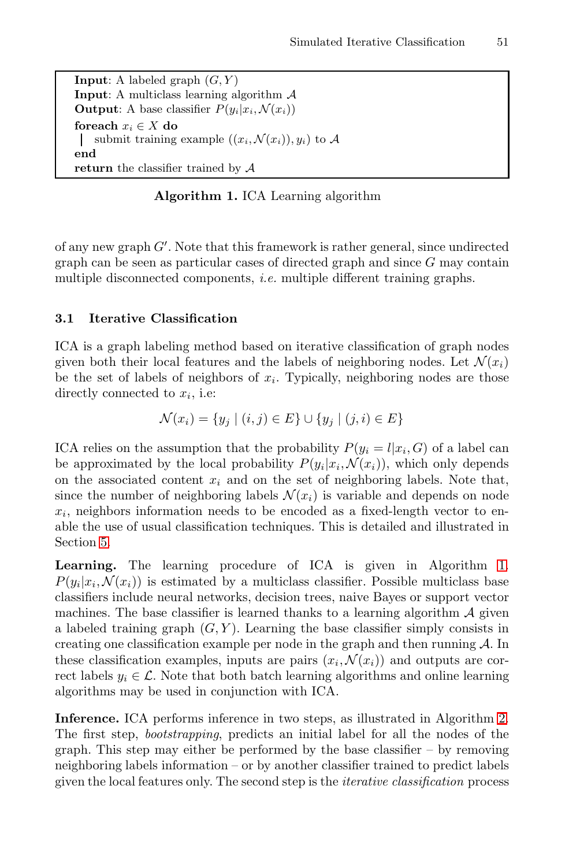```
Input: A labeled graph (G, Y)Input: A multiclass learning algorithm A
Output: A base classifier P(y_i|x_i, \mathcal{N}(x_i))foreach x_i \in X do
submit training example ((x_i, \mathcal{N}(x_i)), y_i) to A
end
return the classifier trained by A
```
**Algorithm 1.** ICA Learning algorithm

of any new graph  $G'$ . Note that this framework is rather general, since undirected graph can be seen as particular cases of directed graph and since G may contain multiple disconnected components, *i.e.* multiple different training graphs.

## **3.1 Iterative Classification**

ICA is a graph labeling method based on iterative classification of graph nodes given both their local features and the labels of neighboring nodes. Let  $\mathcal{N}(x_i)$ be the set of labels of neighbors of  $x_i$ . Typically, neighboring nodes are those directly connected to  $x_i$ , i.e.

$$
\mathcal{N}(x_i) = \{ y_j \mid (i, j) \in E \} \cup \{ y_j \mid (j, i) \in E \}
$$

<span id="page-4-0"></span>ICA relies on the assumption that the probability  $P(y_i = l | x_i, G)$  $P(y_i = l | x_i, G)$  $P(y_i = l | x_i, G)$  of a label can be approximated by the local probability  $P(y_i|x_i, \mathcal{N}(x_i))$ , which only depends on the associated content x*<sup>i</sup>* and on the set of neighboring labels. Note that, since the number of neighboring labels  $\mathcal{N}(x_i)$  is variable and depends on node  $x_i$ , neighbors information needs to be encoded as a fixed-length vector to enable the use of usual classification techniques. This is detailed and illustrated in Section 5.

<span id="page-4-1"></span>**Learning.** The learning procedure of ICA is given in Algorithm 1.  $P(y_i|x_i, \mathcal{N}(x_i))$  is estimated by a multiclass classifier. Possible multiclass base classifiers include neural networks, decision trees, naive Ba[ye](#page-4-1)s or support vector machines. The base classifier is learned thanks to a learning algorithm  $\mathcal A$  given a labeled training graph  $(G, Y)$ . Learning the base classifier simply consists in creating one classification example per node in the graph and then running A. In these classification examples, inputs are pairs  $(x_i, \mathcal{N}(x_i))$  and outputs are correct labels  $y_i \in \mathcal{L}$ . Note that both batch learning algorithms and online learning algorithms may be used in conjunction with ICA.

**Inference.** ICA performs inference in two steps, as illustrated in Algorithm 2. The first step, *bootstrapping*, predicts an initial label for all the nodes of the graph. This step may either be performed by the base classifier – by removing neighboring labels information – or by another classifier trained to predict labels given the local features only. The second step is the *iterative classification* process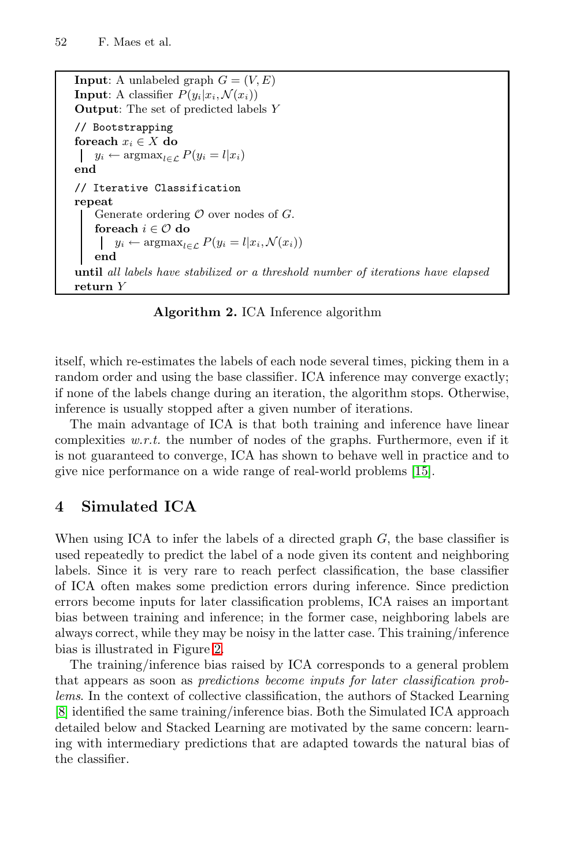**Input**: A unlabeled graph  $G = (V, E)$ **Input**: A classifier  $P(y_i|x_i, \mathcal{N}(x_i))$ **Output**: The set of predicted labels *Y* // Bootstrapping **foreach**  $x_i \in X$  **do**  $y_i$  ← argmax<sub>*l*∈ $\mathcal{L}$ </sub>  $P(y_i = l | x_i)$ **end** // Iterative Classification **repeat** Generate ordering O over nodes of *G*. for<br>each  $i \in \mathcal{O}$  do  $y_i$  ← argmax<sub>*l*∈*L*</sub>  $P(y_i = l | x_i, \mathcal{N}(x_i))$ **end until** *all labels have stabilized or a threshold number of iterations have elapsed* **return** *Y*

**Algorithm 2.** ICA Inference algorithm

<span id="page-5-0"></span>itself, which re-estimates the labels of each [node](#page-15-3) several times, picking them in a random order and using the base classifier. ICA inference may converge exactly; if none of the labels change during an iteration, the algorithm stops. Otherwise, inference is usually stopped after a given number of iterations.

The main advantage of ICA is that both training and inference have linear complexities *w.r.t.* the number of nodes of the graphs. Furthermore, even if it is not guaranteed to converge, ICA has shown to behave well in practice and to give nice performance on a wide range of real-world problems [15].

## **4 Simulated ICA**

When u[sin](#page-6-0)g ICA to infer the labels of a directed graph  $G$ , the base classifier is used repeatedly to predict the label of a node given its content and neighboring labels. Since it is very rare to reach perfect classification, the base classifier of ICA often makes some prediction errors during inference. Since prediction errors become inputs for later classification problems, ICA raises an important bias between training and inference; in the former case, neighboring labels are always correct, while they may be noisy in the latter case. This training/inference bias is illustrated in Figure 2.

The training/inference bias raised by ICA corresponds to a general problem that appears as soon as *predictions become inputs for later classification problems*. In the context of collective classification, the authors of Stacked Learning [8] identified the same training/inference bias. Both the Simulated ICA approach detailed below and Stacked Learning are motivated by the same concern: learning with intermediary predictions that are adapted towards the natural bias of the classifier.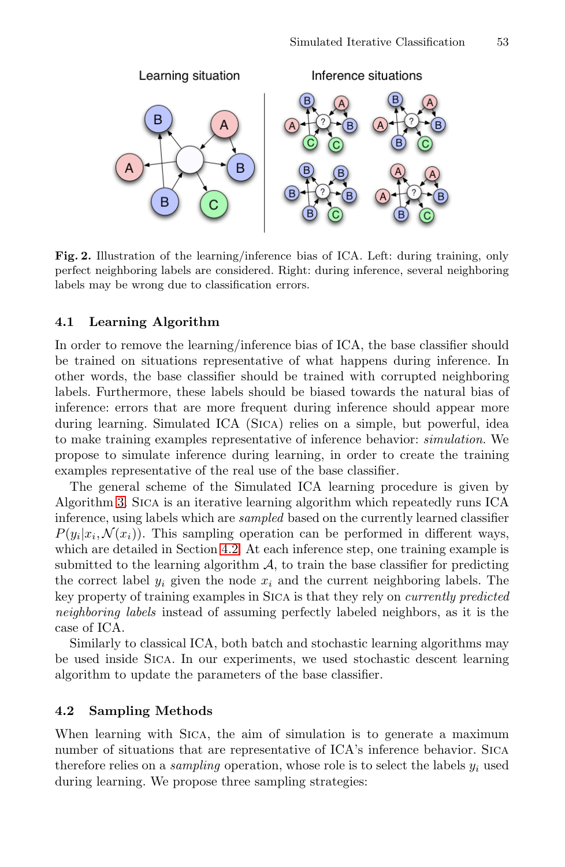

<span id="page-6-0"></span>**Fig. 2.** Illustration of the learning/inference bias of ICA. Left: during training, only perfect neighboring labels are considered. Right: during inference, several neighboring labels may be wrong due to classification errors.

#### **4.1 Learning Algorithm**

In order to remove the learning/inference bias of ICA, the base classifier should be trained on situations representative of what happens during inference. In other words, the base classifier should be trained with corrupted neighboring labels. Furthermore, these labels should be biased towards the natural bias of inference: errors that are more frequent during inference should appear more during le[arnin](#page-6-1)g. Simulated ICA (Sica) relies on a simple, but powerful, idea to make training examples representative of inference behavior: *simulation*. We propose to simulate inference during learning, in order to create the training examples representative of the real use of the base classifier.

The general scheme of the Simulated ICA learning procedure is given by Algorithm 3. Sica is an iterative learning algorithm which repeatedly runs ICA inference, using labels which are *sampled* based on the currently learned classifier  $P(y_i|x_i, \mathcal{N}(x_i))$ . This sampling operation can be performed in different ways, which are detailed in Section 4.2. At each inference step, one training example is submitted to the learning algorithm  $A$ , to train the base classifier for predicting the correct label  $y_i$  given the node  $x_i$  and the current neighboring labels. The key property of training examples in Sica is that they rely on *currently predicted neighboring labels* instead of assuming perfectly labeled neighbors, as it is the case of ICA.

<span id="page-6-1"></span>Similarly to classical ICA, both batch and stochastic learning algorithms may be used inside Sica. In our experiments, we used stochastic descent learning algorithm to update the parameters of the base classifier.

#### **4.2 Sampling Methods**

When learning with SICA, the aim of simulation is to generate a maximum number of situations that are representative of ICA's inference behavior. Sica therefore relies on a *sampling* operation, whose role is to select the labels  $y_i$  used during learning. We propose three sampling strategies: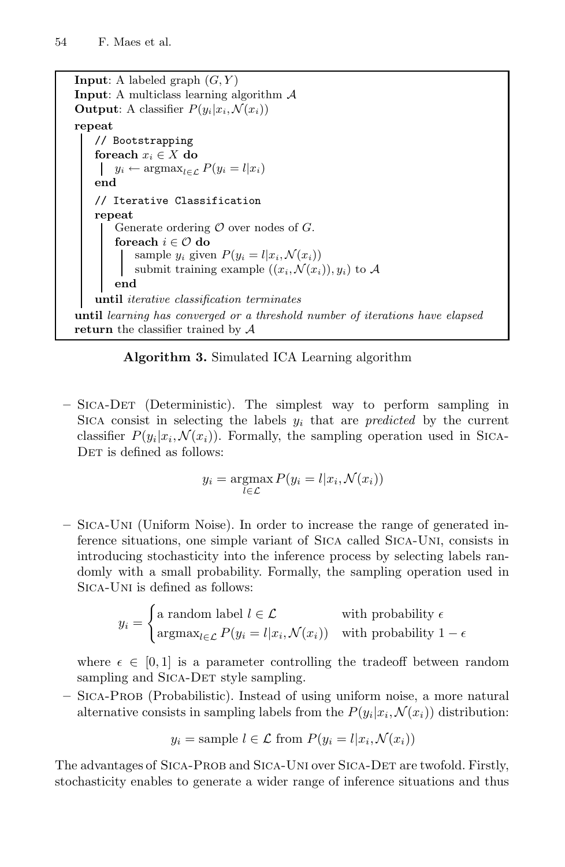**Input:** A labeled graph  $(G, Y)$ **Input**: A multiclass learning algorithm A **Output:** A classifier  $P(y_i|x_i, \mathcal{N}(x_i))$ **repeat** // Bootstrapping **foreach**  $x_i \in X$  **do**  $y_i$  ← argmax<sub>*l*∈ $\mathcal{L}$ </sub>  $P(y_i = l | x_i)$ **end** // Iterative Classification **repeat** Generate ordering O over nodes of *G*. **foreach**  $i \in \mathcal{O}$  **do** sample *y<sub>i</sub>* given  $P(y_i = l | x_i, \mathcal{N}(x_i))$ submit training example  $((x_i, \mathcal{N}(x_i)), y_i)$  to A **end until** *iterative classification terminates* **until** *learning has converged or a threshold number of iterations have elapsed* **return** the classifier trained by A

**Algorithm 3.** Simulated ICA Learning algorithm

**–** Sica-Det (Deterministic). The simplest way to perform sampling in SICA consist in selecting the labels  $y_i$  that are *predicted* by the current classifier  $P(y_i|x_i, \mathcal{N}(x_i))$ . Formally, the sampling operation used in Sica-DET is defined as follows:

$$
y_i = \operatorname*{argmax}_{l \in \mathcal{L}} P(y_i = l | x_i, \mathcal{N}(x_i))
$$

**–** Sica-Uni (Uniform Noise). In order to increase the range of generated inference situations, one simple variant of Sica called Sica-Uni, consists in introducing stochasticity into the inference process by selecting labels randomly with a small probability. Formally, the sampling operation used in Sica-Uni is defined as follows:

$$
y_i = \begin{cases} \text{a random label } l \in \mathcal{L} & \text{with probability } \epsilon \\ \text{argmax}_{l \in \mathcal{L}} P(y_i = l | x_i, \mathcal{N}(x_i)) & \text{with probability } 1 - \epsilon \end{cases}
$$

where  $\epsilon \in [0,1]$  is a parameter controlling the tradeoff between random sampling and SICA-DET style sampling.

**–** Sica-Prob (Probabilistic). Instead of using uniform noise, a more natural alternative consists in sampling labels from the  $P(y_i|x_i, \mathcal{N}(x_i))$  distribution:

$$
y_i
$$
 = sample  $l \in \mathcal{L}$  from  $P(y_i = l | x_i, \mathcal{N}(x_i))$ 

The advantages of Sica-Prob and Sica-Uni over Sica-Det are twofold. Firstly, stochasticity enables to generate a wider range of inference situations and thus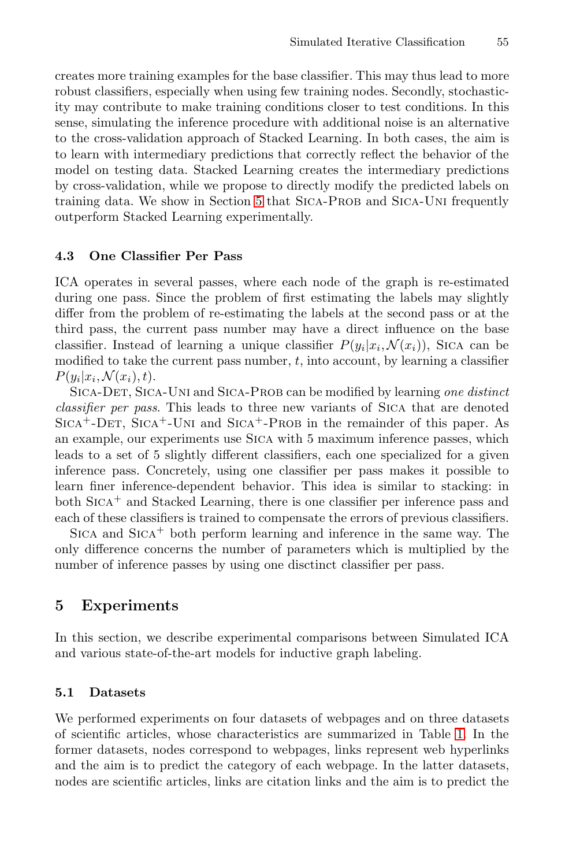creates more tra[in](#page-8-0)ing examples for the base classifier. This may thus lead to more robust classifiers, especially when using few training nodes. Secondly, stochasticity may contribute to make training conditions closer to test conditions. In this sense, simulating the inference procedure with additional noise is an alternative to the cross-validation approach of Stacked Learning. In both cases, the aim is to learn with intermediary predictions that correctly reflect the behavior of the model on testing data. Stacked Learning creates the intermediary predictions by cross-validation, while we propose to directly modify the predicted labels on training data. We show in Section 5 that SICA-PROB and SICA-UNI frequently outperform Stacked Learning experimentally.

#### **4.3 One Classifier Per Pass**

ICA operates in several passes, where each node of the graph is re-estimated during one pass. Since the problem of first estimating the labels may slightly differ from the problem of re-estimating the labels at the second pass or at the third pass, the current pass number may have a direct influence on the base classifier. Instead of learning a unique classifier  $P(y_i|x_i, \mathcal{N}(x_i))$ , SICA can be modified to take the current pass number,  $t$ , into account, by learning a classifier  $P(y_i|x_i, \mathcal{N}(x_i), t).$ 

Sica-Det, Sica-Uni and Sica-Prob can be modified by learning *one distinct classifier per pass*. This leads to three new variants of Sica that are denoted  $S_{\text{ICA}}^+$ -DET,  $S_{\text{ICA}}^+$ -UNI and  $S_{\text{ICA}}^+$ -PROB in the remainder of this paper. As an example, our experiments use Sica with 5 maximum inference passes, which leads to a set of 5 slightly different classifiers, each one specialized for a given inference pass. Concretely, using one classifier per pass makes it possible to learn finer inference-dependent behavior. This idea is similar to stacking: in both  $SicA<sup>+</sup>$  and Stacked Learning, there is one classifier per inference pass and each of these classifiers is trained to compensate the errors of previous classifiers.

<span id="page-8-0"></span> $SICA$  and  $SICA^+$  both perform learning and inference in the same way. The only difference concerns the number of parameters which is multiplied by the number of inference passes by using one disctinct classifier per pass.

## **5 Experiments**

In this section, we describe experimental comparisons between Simulated ICA and various state-of-the-art models for inductive graph labeling.

#### **5.1 Datasets**

We performed experiments on four datasets of webpages and on three datasets of scientific articles, whose characteristics are summarized in Table 1. In the former datasets, nodes correspond to webpages, links represent web hyperlinks and the aim is to predict the category of each webpage. In the latter datasets, nodes are scientific articles, links are citation links and the aim is to predict the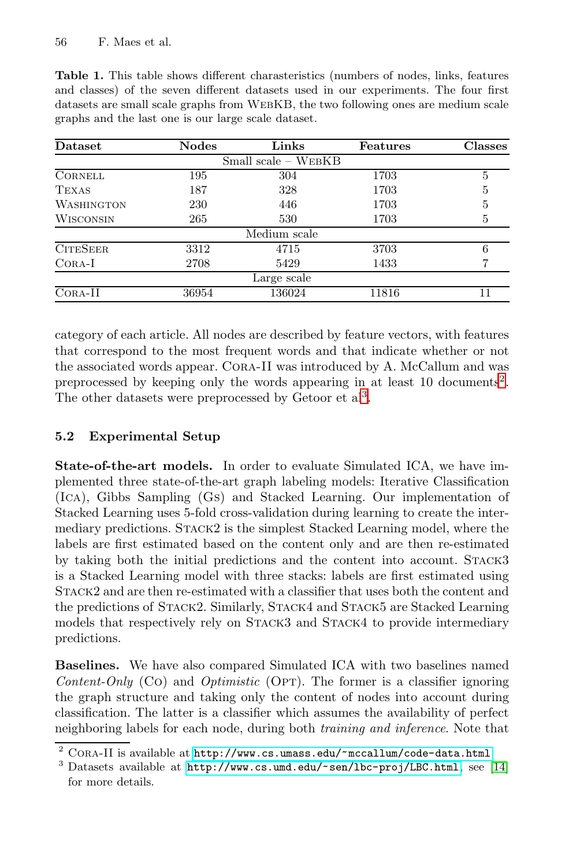**Table 1.** This table shows different charasteristics (numbers of nodes, links, features and classes) of the seven different datasets used in our experiments. The four first datasets are small scale graphs from WebKB, the two following ones are medium scale graphs and the last one is our large scale dataset.

| Dataset           | <b>Nodes</b>       | Links                 | Features | $\rm{Classes}$ |
|-------------------|--------------------|-----------------------|----------|----------------|
|                   |                    | $Small scale - WEBKB$ |          |                |
| <b>CORNELL</b>    | 1703<br>304<br>195 |                       | 5        |                |
| <b>TEXAS</b>      | 187                | 328                   | 1703     | 5              |
| <b>WASHINGTON</b> | 230                | 446                   | 1703     | 5              |
| <b>WISCONSIN</b>  | 265                | 530                   | 1703     | 5              |
|                   |                    | Medium scale          |          |                |
| <b>CITESEER</b>   | 3312               | 4715                  | 3703     |                |
| $CORA-I$          | 2708               | 5429                  | 1433     |                |
|                   |                    | Large scale           |          |                |
| $CORA-II$         | 36954              | 136024                | 11816    | 11             |
|                   |                    |                       |          |                |

category of each article. All nodes are described by feature vectors, with features that correspond to the most frequent words and that indicate whether or not the associated words appear. Cora-II was introduced by A. McCallum and was preprocessed by keeping only the words appearing in at least 10 documents<sup>2</sup>. The other datasets were preprocessed by Getoor et al<sup>3</sup>.

### **5.2 Experimental Setup**

**State-of-the-art models.** In order to evaluate Simulated ICA, we have implemented three state-of-the-art graph labeling models: Iterative Classification (Ica), Gibbs Sampling (Gs) and Stacked Learning. Our implementation of Stacked Learning uses 5-fold cross-validation during learning to create the intermediary predictions. STACK2 is the simplest Stacked Learning model, where the labels are first estimated based on the content only and are then re-estimated by taking both the initial predictions and the content into account. STACK3 is a Stacked Learning model with three stacks: labels are first estimated using Stack2 and are then re-estimated with a classifier that uses both the content and the predictions of STACK2. Similarly, STACK4 and STACK5 are Stacked Learning mod[els that respectively rely on](http://www.cs.umass.edu/~mccallum/code-data.html) STACK3 and STACK4 to provide intermediary pre[dictions.](http://www.cs.umd.edu/~sen/lbc-proj/LBC.html)

<span id="page-9-1"></span><span id="page-9-0"></span>**Baselines.** We have also compared Simulated ICA with two baselines named *Content-Only* (Co) and *Optimistic* (OPT). The former is a classifier ignoring the graph structure and taking only the content of nodes into account during classification. The latter is a classifier which assumes the availability of perfect neighboring labels for each node, during both *training and inference*. Note that

 $2$  CORA-II is available at  $http://www.cs.umass.edu/~mccallum/code-data.html$ 

 $^3$  Datasets available at http://www.cs.umd.edu/~sen/lbc-proj/LBC.html, see [14] for more details.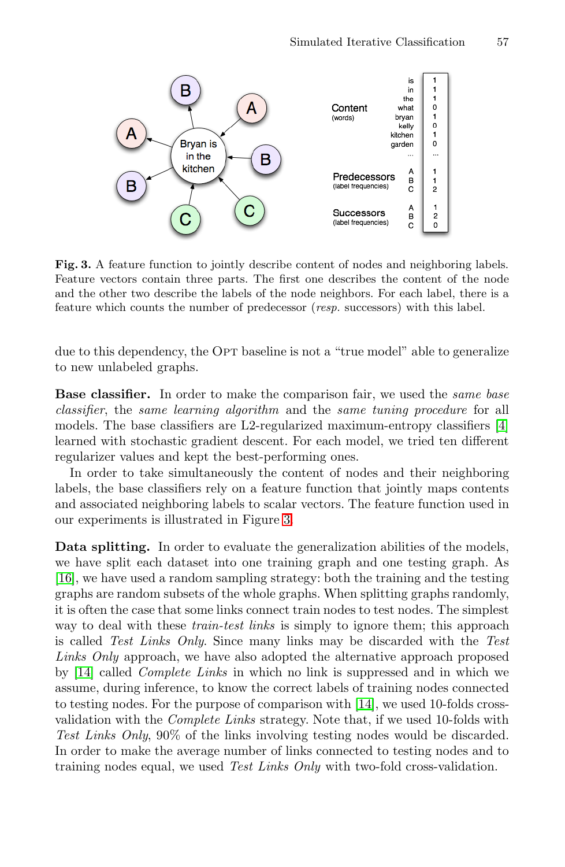

<span id="page-10-0"></span>**Fig. 3.** A feature function to jointly describe content of nodes and neighboring labels. Feature vectors contain three parts. The first one describes the content of the node and the other two describe the labels of the node neighbors. For each label, there is a feature which counts the number of predecessor (*resp.* successo[rs\)](#page-15-15) with this label.

due to this dependency, the OPT baseline is not a "true model" able to generalize to new unlabeled graphs.

**Base classifier.** In [or](#page-10-0)der to make the comparison fair, we used the *same base classifier*, the *same learning algorithm* and the *same tuning procedure* for all models. The base classifiers are L2-regularized maximum-entropy classifiers [4] learned with stochastic gradient descent. For each model, we tried ten different regularizer values and kept the best-performing ones.

In order to take simultaneously the content of nodes and their neighboring labels, the base classifiers rely on a feature function that jointly maps contents and associated neighboring labels to scalar vectors. The feature function used in our experiments is illustrated in Figure 3.

**Data splitting.** In order to evaluate the generalization abilities of the models, we have split each dataset into one training graph and one testing graph. As [16], we have used a random samp[ling](#page-15-16) strategy: both the training and the testing graphs are random subsets of the whole graphs. When splitting graphs randomly, it is often the case that some links connect train nodes to test nodes. The simplest way to deal with these *train-test links* is simply to ignore them; this approach is called *Test Links Only*. Since many links may be discarded with the *Test Links Only* approach, we have also adopted the alternative approach proposed by [14] called *Complete Links* in which no link is suppressed and in which we assume, during inference, to know the correct labels of training nodes connected to testing nodes. For the purpose of comparison with [14], we used 10-folds crossvalidation with the *Complete Links* strategy. Note that, if we used 10-folds with *Test Links Only*, 90% of the links involving testing nodes would be discarded. In order to make the average number of links connected to testing nodes and to training nodes equal, we used *Test Links Only* with two-fold cross-validation.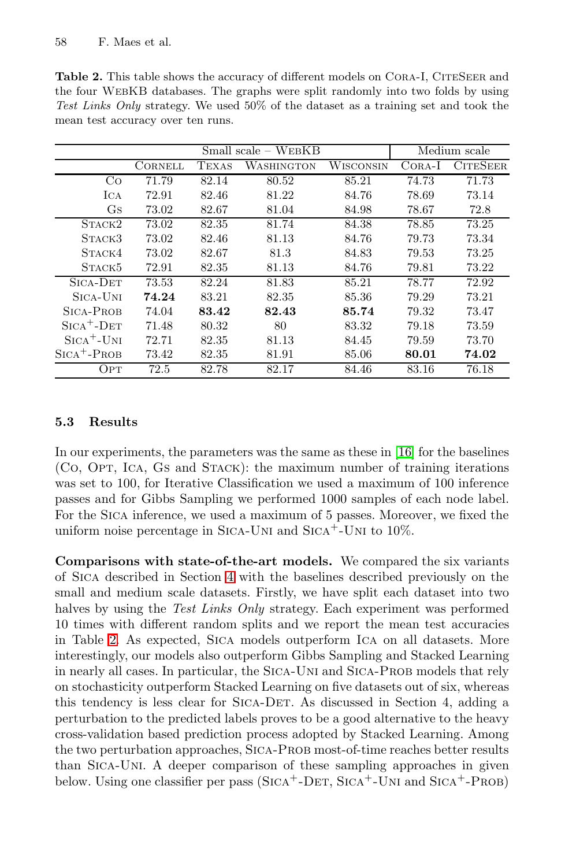Table 2. This table shows the accuracy of different models on CORA-I, CITESEER and the four WebKB databases. The graphs were split randomly into two folds by using *Test Links Only* strategy. We used 50% of the dataset as a training set and took the mean test accuracy over ten runs.

|                                     |         |              | Small scale – WEBKB |           |                 | Medium scale    |
|-------------------------------------|---------|--------------|---------------------|-----------|-----------------|-----------------|
|                                     | CORNELL | <b>TEXAS</b> | WASHINGTON          | Wisconsin | $_{\rm CORA-I}$ | <b>CITESEER</b> |
| Co                                  | 71.79   | 82.14        | 80.52               | 85.21     | 74.73           | 71.73           |
| ICA                                 | 72.91   | 82.46        | 81.22               | 84.76     | 78.69           | 73.14           |
| $\rm{Gs}$                           | 73.02   | 82.67        | 81.04               | 84.98     | 78.67           | 72.8            |
| $S_{TACK2}$                         | 73.02   | 82.35        | 81.74               | 84.38     | 78.85           | 73.25           |
| STACK3                              | 73.02   | 82.46        | 81.13               | 84.76     | 79.73           | 73.34           |
| STACK4                              | 73.02   | 82.67        | 81.3                | 84.83     | 79.53           | 73.25           |
| STACK5                              | 72.91   | 82.35        | 81.13               | 84.76     | 79.81           | 73.22           |
| SICA-DET                            | 73.53   | 82.24        | 81.83               | 85.21     | 78.77           | 72.92           |
| SICA-UNI                            | 74.24   | 83.21        | 82.35               | 85.36     | 79.29           | 73.21           |
| SICA-PROB                           | 74.04   | 83.42        | 82.43               | 85.74     | 79.32           | 73.47           |
| $S_{\text{ICA}}$ <sup>+</sup> -Det  | 71.48   | 80.32        | 80                  | 83.32     | 79.18           | 73.59           |
| $Stca+$ -Uni                        | 72.71   | 82.35        | 81.13               | 84.45     | 79.59           | 73.70           |
| $S_{\text{ICA}}$ <sup>+</sup> -Prob | 73.42   | 82.35        | 81.91               | 85.06     | 80.01           | 74.02           |
| OPT                                 | 72.5    | 82.78        | 82.17               | 84.46     | 83.16           | 76.18           |
|                                     |         |              |                     |           |                 |                 |

#### **5.3 Results**

In our exp[eri](#page-5-0)ments, the parameters was the same as these in [16] for the baselines (Co, Opt, Ica, Gs and Stack): the maximum number of training iterations was set to 100, for Iterative Classification we used a maximum of 100 inference passes and for Gibbs Sampling we performed 1000 samples of each node label. For the Sica inference, we used a maximum of 5 passes. Moreover, we fixed the uniform noise percentage in Sica-Uni and Sica+-Uni to 10%.

**Comparisons with state-of-the-art models.** We compared the six variants of Sica described in Section 4 with the baselines described previously on the small and medium scale datasets. Firstly, we have split each dataset into two halves by using the *Test Links Only* strategy. Each experiment was performed 10 times with different random splits and we report the mean test accuracies in Table 2. As expected, Sica models outperform Ica on all datasets. More interestingly, our models also outperform Gibbs Sampling and Stacked Learning in nearly all cases. In particular, the SICA-UNI and SICA-PROB models that rely on stochasticity outperform Stacked Learning on five datasets out of six, whereas this tendency is less clear for Sica-Det. As discussed in Section 4, adding a perturbation to the predicted labels proves to be a good alternative to the heavy cross-validation based prediction process adopted by Stacked Learning. Among the two perturbation approaches, Sica-Prob most-of-time reaches better results than Sica-Uni. A deeper comparison of these sampling approaches in given below. Using one classifier per pass (SICA<sup>+</sup>-DET, SICA<sup>+</sup>-UNI and SICA<sup>+</sup>-PROB)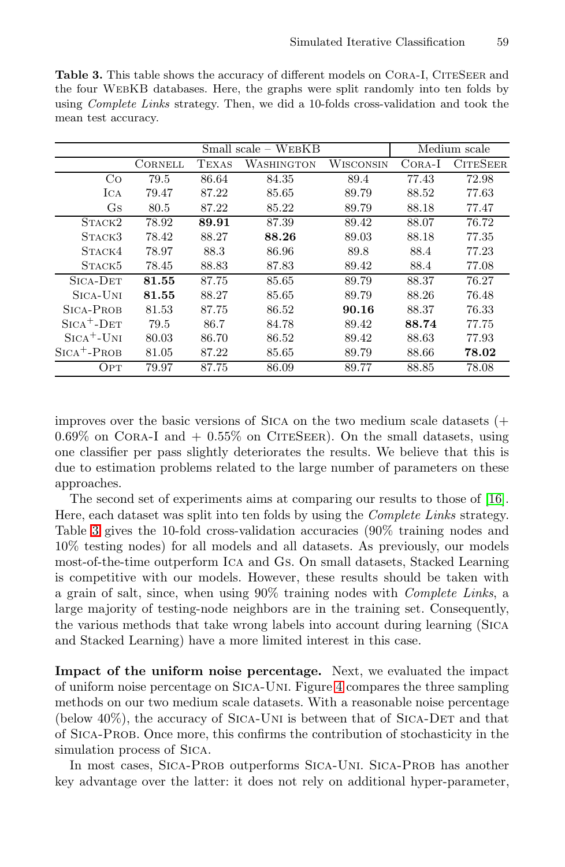Table 3. This table shows the accuracy of different models on CORA-I, CITESEER and the four WebKB databases. Here, the graphs were split randomly into ten folds by using *Complete Links* strategy. Then, we did a 10-folds cross-validation and took the mean test accuracy.

|                                     |         |              | $Small scale - WEBKB$ |           |        | Medium scale |
|-------------------------------------|---------|--------------|-----------------------|-----------|--------|--------------|
|                                     | CORNELL | <b>TEXAS</b> | WASHINGTON            | WISCONSIN | Cora-1 | CITESEER     |
| Co                                  | 79.5    | 86.64        | 84.35                 | 89.4      | 77.43  | 72.98        |
| ICA                                 | 79.47   | 87.22        | 85.65                 | 89.79     | 88.52  | 77.63        |
| $\rm{Gs}$                           | 80.5    | 87.22        | 85.22                 | 89.79     | 88.18  | 77.47        |
| STACK2                              | 78.92   | 89.91        | 87.39                 | 89.42     | 88.07  | 76.72        |
| STACK3                              | 78.42   | 88.27        | 88.26                 | 89.03     | 88.18  | 77.35        |
| STACK4                              | 78.97   | 88.3         | 86.96                 | 89.8      | 88.4   | 77.23        |
| STACK <sub>5</sub>                  | 78.45   | 88.83        | 87.83                 | 89.42     | 88.4   | 77.08        |
| SICA-DET                            | 81.55   | 87.75        | 85.65                 | 89.79     | 88.37  | 76.27        |
| SICA-UNI                            | 81.55   | 88.27        | 85.65                 | 89.79     | 88.26  | 76.48        |
| SICA-PROB                           | 81.53   | 87.75        | 86.52                 | 90.16     | 88.37  | 76.33        |
| $S_{\text{ICA}}$ <sup>+</sup> -Det  | 79.5    | 86.7         | 84.78                 | 89.42     | 88.74  | 77.75        |
| $S_{\rm ICA}$ <sup>+</sup> -UNI     | 80.03   | 86.70        | 86.52                 | 89.42     | 88.63  | 77.93        |
| $S_{\text{ICA}}$ <sup>+</sup> -Prob | 81.05   | 87.22        | 85.65                 | 89.79     | 88.66  | 78.02        |
| Орт                                 | 79.97   | 87.75        | 86.09                 | 89.77     | 88.85  | 78.08        |
|                                     |         |              |                       |           |        |              |

improves over the basic versions of Sica on the two medium scale datasets (+  $0.69\%$  on Cora-I and  $+0.55\%$  on CITESEER). On the small datasets, using one classifier per pass slightly deteriorates the results. We believe that this is due to estimation problems related to the large number of parameters on these approaches.

The second set of experiments aims at comparing our results to those of [16]. Here, each dataset was split into ten folds by using the *Complete Links* strategy. Table 3 gives the 10-fold cross-validation accuracies (90% training nodes and 10% testing nodes) for all models and all datasets. As previously, our models most-of-the-time outperform [Ic](#page-13-0)a and Gs. On small datasets, Stacked Learning is competitive with our models. However, these results should be taken with a grain of salt, since, when using 90% training nodes with *Complete Links*, a large majority of testing-node neighbors are in the training set. Consequently, the various methods that take wrong labels into account during learning (Sica and Stacked Learning) have a more limited interest in this case.

**Impact of the uniform noise percentage.** Next, we evaluated the impact of uniform noise percentage on Sica-Uni. Figure 4 compares the three sampling methods on our two medium scale datasets. With a reasonable noise percentage (below  $40\%$ ), the accuracy of SICA-UNI is between that of SICA-DET and that of Sica-Prob. Once more, this confirms the contribution of stochasticity in the simulation process of Sica.

In most cases, Sica-Prob outperforms Sica-Uni. Sica-Prob has another key advantage over the latter: it does not rely on additional hyper-parameter,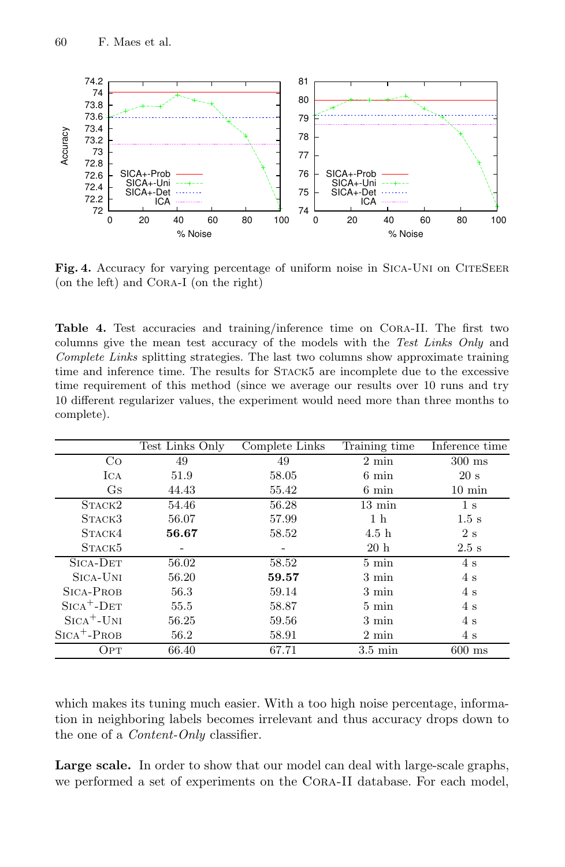

<span id="page-13-0"></span>Fig. 4. Accuracy for varying percentage of uniform noise in SICA-UNI on CITESEER (on the left) and Cora-I (on the right)

Table 4. Test accuracies and training/inference time on CORA-II. The first two columns give the mean test accuracy of the models with the *Test Links Only* and *Complete Links* splitting strategies. The last two columns show approximate training time and inference time. The results for Stack5 are incomplete due to the excessive time requirement of this method (since we average our results over 10 runs and try 10 different regularizer values, the experiment would need more than three months to complete).

|                                     | Test Links Only | Complete Links | Training time     | Inference time   |
|-------------------------------------|-----------------|----------------|-------------------|------------------|
| Co                                  | 49              | 49             | $2 \text{ min}$   | $300$ ms         |
| ICA                                 | 51.9            | 58.05          | $6 \text{ min}$   | 20 s             |
| $\rm{Gs}$                           | 44.43           | 55.42          | $6 \text{ min}$   | $10 \text{ min}$ |
| STACK2                              | 54.46           | 56.28          | $13 \text{ min}$  | 1 <sub>s</sub>   |
| STACK3                              | 56.07           | 57.99          | 1 <sub>h</sub>    | $1.5$ s          |
| STACK4                              | 56.67           | 58.52          | 4.5h              | 2s               |
| STACK <sub>5</sub>                  |                 |                | 20h               | $2.5$ s          |
| SICA-DET                            | 56.02           | 58.52          | $5 \text{ min}$   | 4s               |
| SICA-UNI                            | 56.20           | 59.57          | $3 \text{ min}$   | 4s               |
| SICA-PROB                           | 56.3            | 59.14          | $3 \text{ min}$   | $4\mathrm{s}$    |
| $S_{\text{ICA}}$ <sup>+</sup> -Det  | 55.5            | 58.87          | $5 \text{ min}$   | 4s               |
| $S_{\rm ICA}^{+}$ -UNI              | 56.25           | 59.56          | $3 \text{ min}$   | 4s               |
| $S_{\text{ICA}}$ <sup>+</sup> -Prob | 56.2            | 58.91          | $2 \text{ min}$   | 4s               |
| OPT                                 | 66.40           | 67.71          | $3.5 \text{ min}$ | $600$ ms         |
|                                     |                 |                |                   |                  |

which makes its tuning much easier. With a too high noise percentage, information in neighboring labels becomes irrelevant and thus accuracy drops down to the one of a *Content-Only* classifier.

Large scale. In order to show that our model can deal with large-scale graphs, we performed a set of experiments on the CORA-II database. For each model,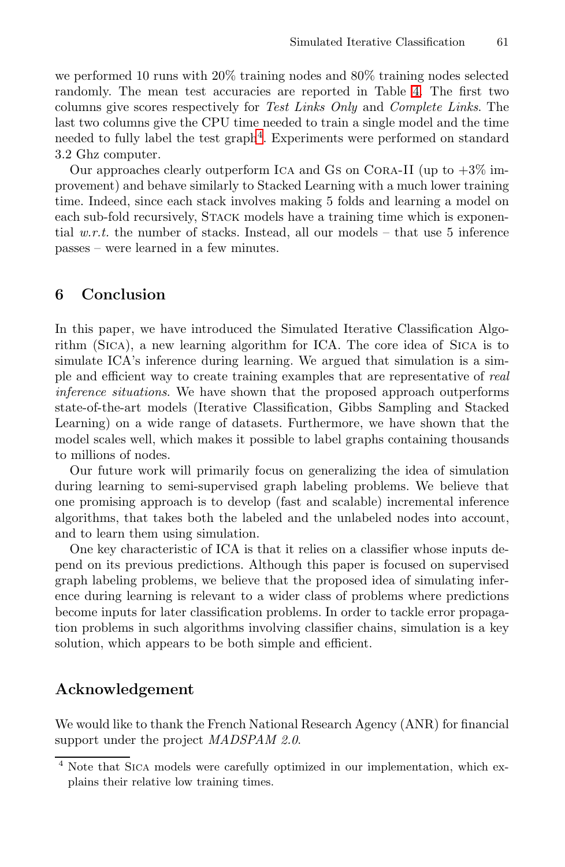we performed 10 runs with 20% training nodes and 80% training nodes selected randomly. The mean test accuracies are reported in Table 4. The first two columns give scores respectively for *Test Links Only* and *Complete Links*. The last two columns give the CPU time needed to train a single model and the time needed to fully label the test graph<sup>4</sup>. Experiments were performed on standard 3.2 Ghz computer.

<span id="page-14-0"></span>Our approaches clearly outperform ICA and Gs on CORA-II (up to  $+3\%$  improvement) and behave similarly to Stacked Learning with a much lower training time. Indeed, since each stack involves making 5 folds and learning a model on each sub-fold recursively, Stack models have a training time which is exponential  $w.r.t.$  the number of stacks. Instead, all our models  $-$  that use 5 inference passes – were learned in a few minutes.

## **6 Conclusion**

In this paper, we have introduced the Simulated Iterative Classification Algorithm (Sica), a new learning algorithm for ICA. The core idea of Sica is to simulate ICA's inference during learning. We argued that simulation is a simple and efficient way to create training examples that are representative of *real inference situations*. We have shown that the proposed approach outperforms state-of-the-art models (Iterative Classification, Gibbs Sampling and Stacked Learning) on a wide range of datasets. Furthermore, we have shown that the model scales well, which makes it possible to label graphs containing thousands to millions of nodes.

Our future work will primarily focus on generalizing the idea of simulation during learning to semi-supervised graph labeling problems. We believe that one promising approach is to develop (fast and scalable) incremental inference algorithms, that takes both the labeled and the unlabeled nodes into account, and to learn them using simulation.

One key characteristic of ICA is that it relies on a classifier whose inputs depend on its previous predictions. Although this paper is focused on supervised graph labeling problems, we believe that the proposed idea of simulating inference during learning is relevant to a wider class of problems where predictions become inputs for later classification problems. In order to tackle error propagation problems in such algorithms involving classifier chains, simulation is a key solution, which appears to be both simple and efficient.

## **Acknowledgement**

We would like to thank the French National Research Agency (ANR) for financial support under the project *MADSPAM 2.0*.

Note that SICA models were carefully optimized in our implementation, which explains their relative low training times.